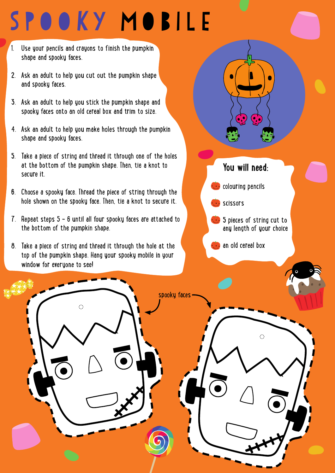## SPOOKY MOBILE

- 1. Use your pencils and crayons to finish the pumpkin shape and spooky faces.
- 2. Ask an adult to help you cut out the pumpkin shape and spooky faces.
- 3. Ask an adult to help you stick the pumpkin shape and spooky faces onto an old cereal box and trim to size.
- 4. Ask an adult to help you make holes through the pumpkin shape and spooky faces.
- 5. Take a piece of string and thread it through one of the holes at the bottom of the pumpkin shape. Then, tie a knot to secure it.
- 6. Choose a spooky face. Thread the piece of string through the hole shown on the spooky face. Then, tie a knot to secure it.
- 7. Repeat steps 5 6 until all four spooky faces are attached to the bottom of the pumpkin shape.
- 8. Take a piece of string and thread it through the hole at the top of the pumpkin shape. Hang your spooky mobile in your window for everyone to see!

Ó



**5** pieces of string cut to

any length of your choice

 $\circ$ 

an old cereal box

spooky faces